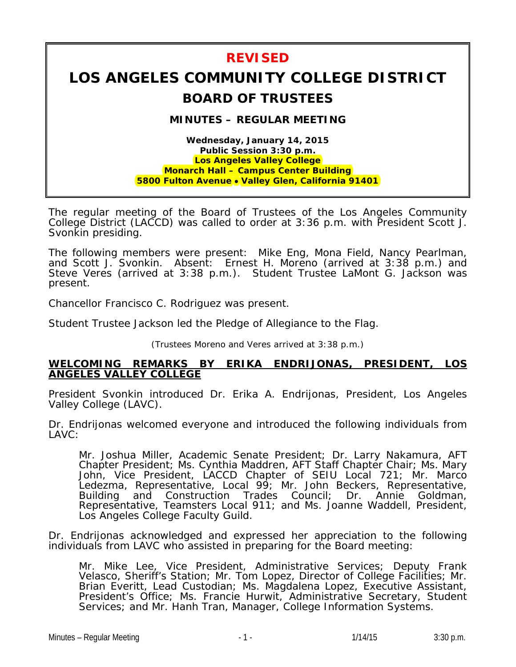## **REVISED LOS ANGELES COMMUNITY COLLEGE DISTRICT BOARD OF TRUSTEES MINUTES – REGULAR MEETING Wednesday, January 14, 2015 Public Session 3:30 p.m. Los Angeles Valley College Monarch Hall – Campus Center Building 5800 Fulton Avenue** • **Valley Glen, California 91401**

The regular meeting of the Board of Trustees of the Los Angeles Community College District (LACCD) was called to order at 3:36 p.m. with President Scott J. Svonkin presiding.

The following members were present: Mike Eng, Mona Field, Nancy Pearlman, and Scott J. Svonkin. Absent: Ernest H. Moreno (arrived at 3:38 p.m.) and Steve Veres (arrived at 3:38 p.m.). Student Trustee LaMont G. Jackson was present.

Chancellor Francisco C. Rodriguez was present.

Student Trustee Jackson led the Pledge of Allegiance to the Flag.

(Trustees Moreno and Veres arrived at 3:38 p.m.)

#### **WELCOMING REMARKS BY ERIKA ENDRIJONAS, PRESIDENT, LOS ANGELES VALLEY COLLEGE**

President Svonkin introduced Dr. Erika A. Endrijonas, President, Los Angeles Valley College (LAVC).

Dr. Endrijonas welcomed everyone and introduced the following individuals from LAVC:

Mr. Joshua Miller, Academic Senate President; Dr. Larry Nakamura, AFT Chapter President; Ms. Cynthia Maddren, AFT Staff Chapter Chair; Ms. Mary John, Vice President, LACCD Chapter of SEIU Local 721; Mr. Marco Ledezma, Representative, Local 99; Mr. John Beckers, Representative, Building and Construction Trades Council; Dr. Annie Goldman, Representative, Teamsters Local 911; and Ms. Joanne Waddell, President, Los Angeles College Faculty Guild.

Dr. Endrijonas acknowledged and expressed her appreciation to the following individuals from LAVC who assisted in preparing for the Board meeting:

Mr. Mike Lee, Vice President, Administrative Services; Deputy Frank Velasco, Sheriff's Station; Mr. Tom Lopez, Director of College Facilities; Mr. Brian Everitt, Lead Custodian; Ms. Magdalena Lopez, Executive Assistant, President's Office; Ms. Francie Hurwit, Administrative Secretary, Student Services; and Mr. Hanh Tran, Manager, College Information Systems.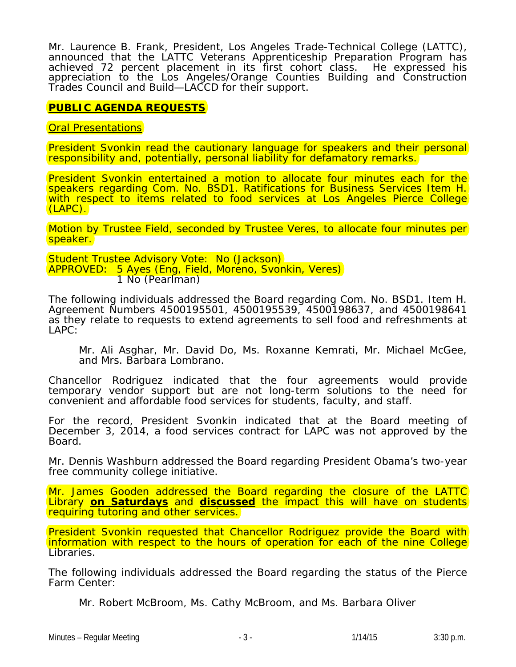Mr. Laurence B. Frank, President, Los Angeles Trade-Technical College (LATTC), announced that the LATTC Veterans Apprenticeship Preparation Program has achieved 72 percent placement in its first cohort class. He expressed his appreciation to the Los Angeles/Orange Counties Building and Construction Trades Council and Build—LACCD for their support.

## **PUBLIC AGENDA REQUESTS**

**Oral Presentations** 

President Svonkin read the cautionary language for speakers and their personal responsibility and, potentially, personal liability for defamatory remarks.

President Svonkin entertained a motion to allocate four minutes each for the speakers regarding Com. No. BSD1. Ratifications for Business Services Item H. with respect to items related to food services at Los Angeles Pierce College (LAPC).

Motion by Trustee Field, seconded by Trustee Veres, to allocate four minutes per speaker.

*Student Trustee Advisory Vote: No (Jackson) APPROVED: 5 Ayes (Eng, Field, Moreno, Svonkin, Veres) 1 No (Pearlman)*

The following individuals addressed the Board regarding Com. No. BSD1. Item H. Agreement Numbers 4500195501, 4500195539, 4500198637, and 4500198641 as they relate to requests to extend agreements to sell food and refreshments at LAPC:

Mr. Ali Asghar, Mr. David Do, Ms. Roxanne Kemrati, Mr. Michael McGee, and Mrs. Barbara Lombrano.

Chancellor Rodriguez indicated that the four agreements would provide temporary vendor support but are not long-term solutions to the need for convenient and affordable food services for students, faculty, and staff.

For the record, President Svonkin indicated that at the Board meeting of December 3, 2014, a food services contract for LAPC was not approved by the Board.

Mr. Dennis Washburn addressed the Board regarding President Obama's two-year free community college initiative.

Mr. James Gooden addressed the Board regarding the closure of the LATTC Library **on Saturdays** and **discussed** the impact this will have on students requiring tutoring and other services.

President Svonkin requested that Chancellor Rodriguez provide the Board with information with respect to the hours of operation for each of the nine College Libraries.

The following individuals addressed the Board regarding the status of the Pierce Farm Center:

Mr. Robert McBroom, Ms. Cathy McBroom, and Ms. Barbara Oliver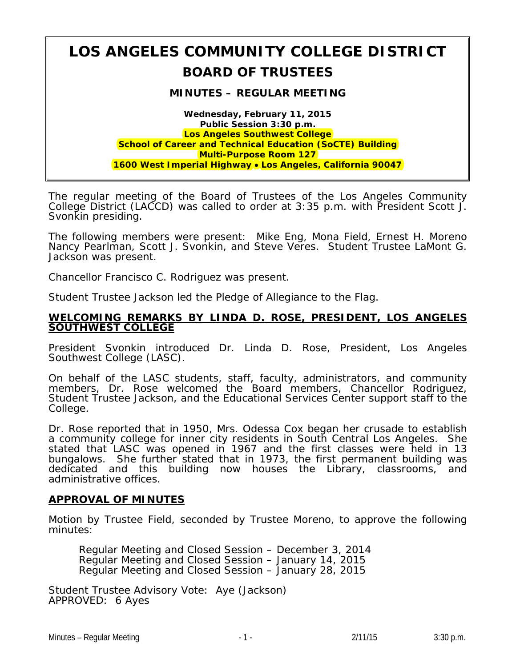# **LOS ANGELES COMMUNITY COLLEGE DISTRICT BOARD OF TRUSTEES**

#### **MINUTES – REGULAR MEETING**

**Wednesday, February 11, 2015 Public Session 3:30 p.m. Los Angeles Southwest College School of Career and Technical Education (SoCTE) Building Multi-Purpose Room 127 1600 West Imperial Highway** • **Los Angeles, California 90047**

The regular meeting of the Board of Trustees of the Los Angeles Community College District (LACCD) was called to order at 3:35 p.m. with President Scott J. Svonkin presiding.

The following members were present: Mike Eng, Mona Field, Ernest H. Moreno Nancy Pearlman, Scott J. Svonkin, and Steve Veres. Student Trustee LaMont G. Jackson was present.

Chancellor Francisco C. Rodriguez was present.

Student Trustee Jackson led the Pledge of Allegiance to the Flag.

#### **WELCOMING REMARKS BY LINDA D. ROSE, PRESIDENT, LOS ANGELES SOUTHWEST COLLEGE**

President Svonkin introduced Dr. Linda D. Rose, President, Los Angeles Southwest College (LASC).

On behalf of the LASC students, staff, faculty, administrators, and community members, Dr. Rose welcomed the Board members, Chancellor Rodriguez, Student Trustee Jackson, and the Educational Services Center support staff to the College.

Dr. Rose reported that in 1950, Mrs. Odessa Cox began her crusade to establish a community college for inner city residents in South Central Los Angeles. She stated that LASC was opened in 1967 and the first classes were held in 13 bungalows. She further stated that in 1973, the first permanent building was dedicated and this building now houses the Library, classrooms, and administrative offices.

#### **APPROVAL OF MINUTES**

Motion by Trustee Field, seconded by Trustee Moreno, to approve the following minutes:

Regular Meeting and Closed Session – December 3, 2014 Regular Meeting and Closed Session – January 14, 2015 Regular Meeting and Closed Session – January 28, 2015

*Student Trustee Advisory Vote: Aye (Jackson) APPROVED: 6 Ayes*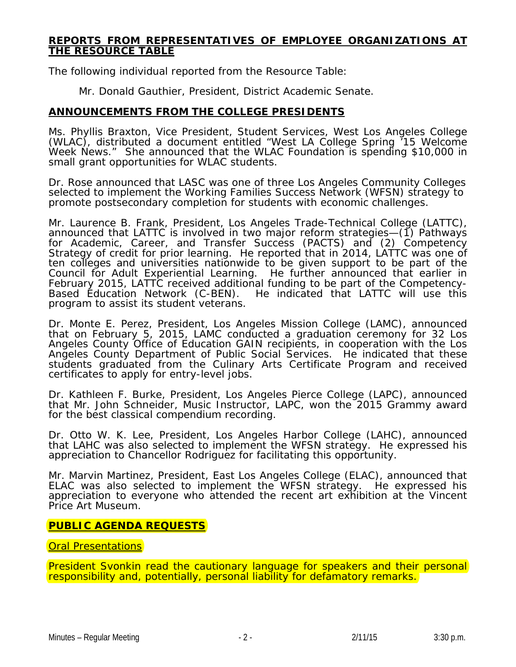#### **REPORTS FROM REPRESENTATIVES OF EMPLOYEE ORGANIZATIONS AT THE RESOURCE TABLE**

The following individual reported from the Resource Table:

Mr. Donald Gauthier, President, District Academic Senate.

### **ANNOUNCEMENTS FROM THE COLLEGE PRESIDENTS**

Ms. Phyllis Braxton, Vice President, Student Services, West Los Angeles College (WLAC), distributed a document entitled "West LA College Spring '15 Welcome Week News." She announced that the WLAC Foundation is spending \$10,000 in small grant opportunities for WLAC students.

Dr. Rose announced that LASC was one of three Los Angeles Community Colleges selected to implement the Working Families Success Network (WFSN) strategy to promote postsecondary completion for students with economic challenges.

Mr. Laurence B. Frank, President, Los Angeles Trade-Technical College (LATTC), announced that LATTC is involved in two major reform strategies—(1) Pathways for Academic, Career, and Transfer Success (PACTS) and (2) Competency Strategy of credit for prior learning. He reported that in 2014, LATTC was one of ten colleges and universities nationwide to be given support to be part of the Council for Adult Experiential Learning. He further announced that earlier in February 2015, LATTC received additional funding to be part of the Competency-Based Education Network (C-BEN). He indicated that LATTC will use this program to assist its student veterans.

Dr. Monte E. Perez, President, Los Angeles Mission College (LAMC), announced that on February 5, 2015, LAMC conducted a graduation ceremony for 32 Los Angeles County Office of Education GAIN recipients, in cooperation with the Los Angeles County Department of Public Social Services. He indicated that these students graduated from the Culinary Arts Certificate Program and received certificates to apply for entry-level jobs.

Dr. Kathleen F. Burke, President, Los Angeles Pierce College (LAPC), announced that Mr. John Schneider, Music Instructor, LAPC, won the 2015 Grammy award for the best classical compendium recording.

Dr. Otto W. K. Lee, President, Los Angeles Harbor College (LAHC), announced that LAHC was also selected to implement the WFSN strategy. He expressed his appreciation to Chancellor Rodriguez for facilitating this opportunity.

Mr. Marvin Martinez, President, East Los Angeles College (ELAC), announced that ELAC was also selected to implement the WFSN strategy. He expressed his appreciation to everyone who attended the recent art exhibition at the Vincent Price Art Museum.

## **PUBLIC AGENDA REQUESTS**

#### **Oral Presentations**

President Svonkin read the cautionary language for speakers and their personal responsibility and, potentially, personal liability for defamatory remarks.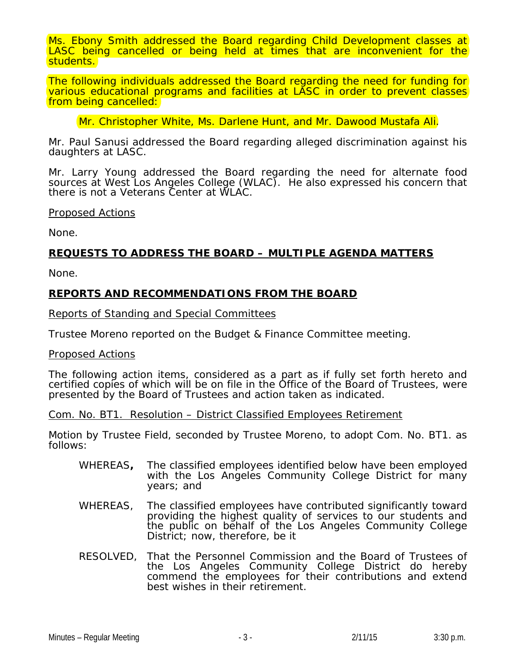Ms. Ebony Smith addressed the Board regarding Child Development classes at LASC being cancelled or being held at times that are inconvenient for the students.

The following individuals addressed the Board regarding the need for funding for various educational programs and facilities at LASC in order to prevent classes from being cancelled:

Mr. Christopher White, Ms. Darlene Hunt, and Mr. Dawood Mustafa Ali.

Mr. Paul Sanusi addressed the Board regarding alleged discrimination against his daughters at LASC.

Mr. Larry Young addressed the Board regarding the need for alternate food sources at West Los Angeles College (WLAC). He also expressed his concern that there is not a Veterans Center at WLAC.

#### Proposed Actions

None.

#### **REQUESTS TO ADDRESS THE BOARD – MULTIPLE AGENDA MATTERS**

None.

#### **REPORTS AND RECOMMENDATIONS FROM THE BOARD**

#### Reports of Standing and Special Committees

Trustee Moreno reported on the Budget & Finance Committee meeting.

#### Proposed Actions

The following action items, considered as a part as if fully set forth hereto and certified copies of which will be on file in the Office of the Board of Trustees, were presented by the Board of Trustees and action taken as indicated.

Com. No. BT1. Resolution – District Classified Employees Retirement

Motion by Trustee Field, seconded by Trustee Moreno, to adopt Com. No. BT1. as follows:

- WHEREAS**,** The classified employees identified below have been employed with the Los Angeles Community College District for many years; and
- WHEREAS, The classified employees have contributed significantly toward providing the highest quality of services to our students and the public on behalf of the Los Angeles Community College District; now, therefore, be it
- RESOLVED, That the Personnel Commission and the Board of Trustees of the Los Angeles Community College District do hereby commend the employees for their contributions and extend best wishes in their retirement.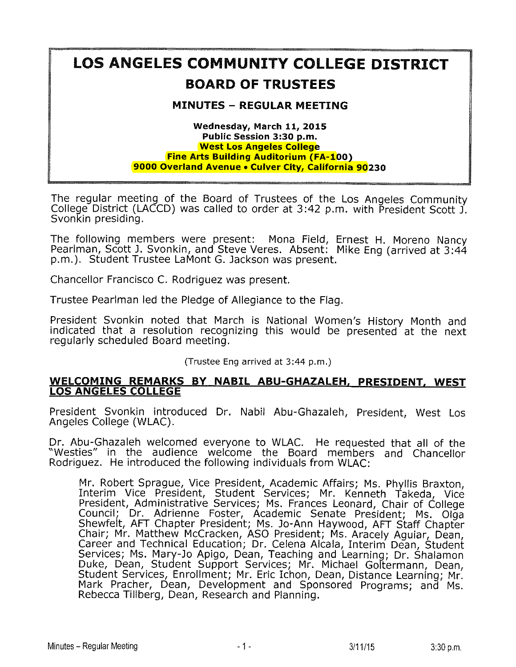## LOS ANGELES COMMUNITY COLLEGE DISTRICT BOARD OF TRUSTEES

## MINUTES - REGULAR MEETING

#### Wednesday, March 11, 2015 Public Session 3:30 p.m. West Los Angeles College Fine Arts Building Auditorium (FA-100) 9000 Overland Avenue . Culver City, California 90230

The regular meeting of the Board of Trustees of the Los Angeles Community College District (LACCD) was called to order at 3:42 p.m. with President Scott J. Svonkin presiding,

The following members were present: Mona Field, Ernest H. Moreno N Pearlman, Scott J. Svonkin, and Steve Veres. Absent: Mike Eng (arrived a p.m.). Student Trustee LaMont G. Jackson was present.

Chancellor Francisco C. Rodriguez was present.

Trustee Peariman led the Pledge of Allegiance to the Flag,

President Svonkin noted that March is National Women's History Month and indicated that. a resolution recognizing this would be presented'at the next regularly scheduled Board meeting.

(Trustee Eng arrived at 3:44 p.m.)

#### WELCOMING REMARKS BY NABIL ABU-GHAZALEH, PRESIDENT. WEST LOS ANGELES COLLEGE

President Svonkin introduced Dr. Nabil Abu-Ghazaleh, President, West Los Angeles College (WLAC).

Dr. Abu-Ghazaleh welcomed everyone to WLAC. He requested that all of the "Westles" in the audience welcome the Board members and Chancellor Rodriguez. He introduced the following individuals from WLAC:

Mr. Robert Sprague, Vice President, Academic Affairs; Ms. Phyllis Braxton, <u>I</u>nterim Vice President, Student Services; Mr. Kenneth President, Administrative Services; Ms. Frances Leonard, Chair of C Council; Dr. Adrienne Foster, Academic Senate President; Ms. Olga Shewfelt, AFT Chapter President; Ms. Jo-Ann Haywood, AFT Staff Chapter Chair; Mr. Matthew McCracken, ASO President; Ms. Aracely Aguiar, I Career and Technical Education; Dr. Celena Alcala, Interim Dean, S Services; Ms. Mary-Jo Apigo, Dean, Teaching and Learning; Dr. Shalamon Duke, Dean, Student Support Services; Mr. Michael Goltermann, Dean, Student Services, Enrollment; Mr. Eric Ichon, Dean, Distance Learning; Mr. Mark Pracher, Dean, Development and Sponsored Programs; and Ms. Rebecca Tillberg, Dean, Research and Planning.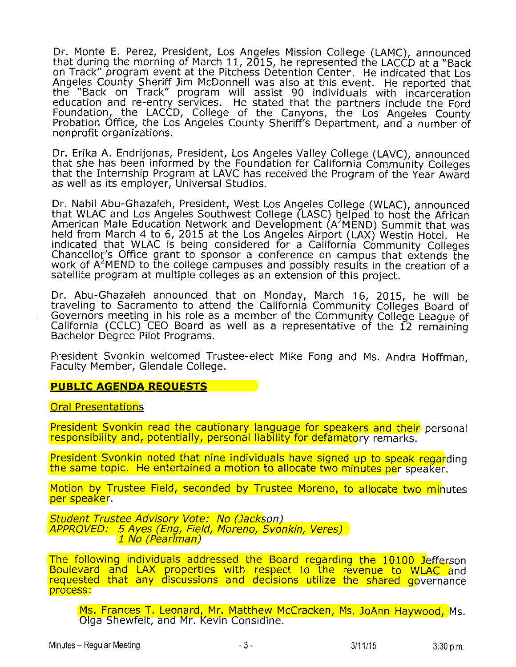Dr. Monte E. Perez, President, Los Angeles Mission College (LAMC), announced that during the morning of March 11, 2015, he represented the LACCD at a "Back" on Track" program event at the Pitchess Detention Center. He indicated that Los Angeles County Sheriff Jim McDonnell was also at this event. He reported that the "Back on Track" program will assist 90 individuals with i education and re-entry services. He stated that the partners inclu Foundation, the LACCD, College of the Canyons, the Los Angeles County<br>Probation Office, the Los Angeles County Sheriff's Department, and a number of nonprofit organizations.

Dr. Erika A. Endrijonas, President, Los Angeles Valley College (LAVC), announced<br>that she has been informed by the Foundation for California Community Colleges that the Internship Program at LAVC has received the Program of the Year Award as well as its employer, Universal Studios.

Dr. Nabil Abu-Ghazaleh, President, West Los Angeles College (WLAC), announced that WLAC and Los Angeles Southwest College (LASC) helped to host the African American Male Education Network and Development (A<sup>2</sup>MEND) Summit that was held from March 4 to 6, 2015 at the Los Angeles Airport (LAX) Westin Hotel. He indicated that WLAC is being considered for a California Community Colleges Chancellor's Office grant to sponsor a conference on campus that extends the work of  $A^2$ MEND to the college campuses and possibly results in the creation of a satellite program at multiple'colleges as an extension of this project.

Dr. Abu-Ghazaleh announced that on Monday, March 16, 2015, he will be traveling to Sacramento to attend the California Community Colleges Board of Goyemors meeting in his role as a member of the Community College League of California (CCLC) CEO Board as well as a representative of the 12 remaining Bachelor Degree Pilot Programs.

President Svonkin welcomed Trustee-elect Mike Fong and Ms. Andra Hoffman, Faculty Member, Glendale College.

#### PUBLIC AGENDA REQUESTS

Oral Presentations

President Svonkin read the cautionary language for speakers and their persona! responsibility and, potentially, personal liability for defamatory remarks.

President Svonkin noted that nine individuals have signed up to speak regarding the same topic. He entertained a motion to allocate two minutes per speaker.

Motion by Trustee Field, seconded by Trustee Moreno, to allocate two minutes per speaker.

Student Trustee Advisory Vote: No (Jackson) APPROVED: 5Ayes\_(Eng, Field, Moreno, Svonkin, Veres) 1 No (Pearlman)

The following individuals addressed the Board regarding the 10100 Jefferson Boulevard and LAX properties with respect to the revenue to WLAC and requested that any discussions and decisions utilize the shared governance process:

Ms. Frances T. Leonard, Mr. Matthew McCracken, Ms. JoAnn Haywood, Ms. Oiga Shewfelt/ and Mr. Kevin Considine.